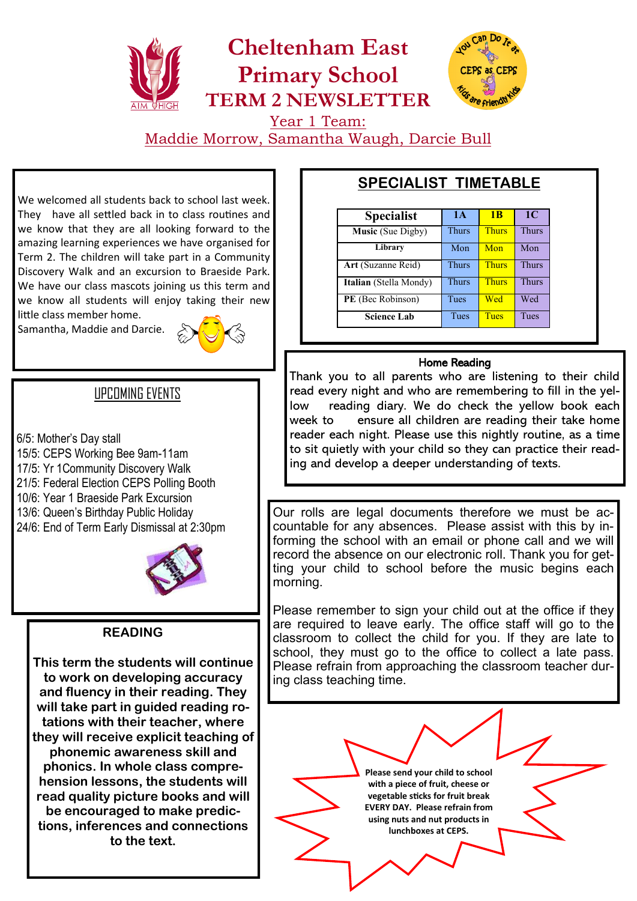# **Cheltenham East Primary School TERM 2 NEWSLETTER**



Year 1 Team: Maddie Morrow, Samantha Waugh, Darcie Bull

We welcomed all students back to school last week. They have all settled back in to class routines and we know that they are all looking forward to the amazing learning experiences we have organised for Term 2. The children will take part in a Community Discovery Walk and an excursion to Braeside Park. We have our class mascots joining us this term and we know all students will enjoy taking their new little class member home.

Samantha, Maddie and Darcie.



## UPCOMING EVENTS

6/5: Mother's Day stall 15/5: CEPS Working Bee 9am-11am 17/5: Yr 1Community Discovery Walk 21/5: Federal Election CEPS Polling Booth 10/6: Year 1 Braeside Park Excursion 13/6: Queen's Birthday Public Holiday 24/6: End of Term Early Dismissal at 2:30pm



### **READING**

**This term the students will continue to work on developing accuracy and fluency in their reading. They will take part in guided reading rotations with their teacher, where they will receive explicit teaching of phonemic awareness skill and phonics. In whole class comprehension lessons, the students will read quality picture books and will be encouraged to make predictions, inferences and connections to the text.**

# **SPECIALIST TIMETABLE**

| <b>Specialist</b>        | 1А           | 1 <sub>B</sub> | 1 <sup>C</sup> |
|--------------------------|--------------|----------------|----------------|
| <b>Music</b> (Sue Digby) | <b>Thurs</b> | <b>Thurs</b>   | <b>Thurs</b>   |
| Library                  | Mon          | Mon            | Mon            |
| Art (Suzanne Reid)       | <b>Thurs</b> | <b>Thurs</b>   | Thurs          |
| Italian (Stella Mondy)   | <b>Thurs</b> | <b>Thurs</b>   | <b>Thurs</b>   |
| PE (Bec Robinson)        | Tues         | Wed            | Wed            |
| <b>Science Lab</b>       | Tues         | <b>Tues</b>    | Tues           |

### Home Reading

Thank you to all parents who are listening to their child read every night and who are remembering to fill in the yellow reading diary. We do check the yellow book each week to ensure all children are reading their take home reader each night. Please use this nightly routine, as a time to sit quietly with your child so they can practice their reading and develop a deeper understanding of texts.

Our rolls are legal documents therefore we must be accountable for any absences. Please assist with this by informing the school with an email or phone call and we will record the absence on our electronic roll. Thank you for getting your child to school before the music begins each morning.

Please remember to sign your child out at the office if they are required to leave early. The office staff will go to the classroom to collect the child for you. If they are late to school, they must go to the office to collect a late pass. Please refrain from approaching the classroom teacher during class teaching time.

> **Please send your child to school with a piece of fruit, cheese or vegetable sticks for fruit break EVERY DAY. Please refrain from using nuts and nut products in lunchboxes at CEPS.**